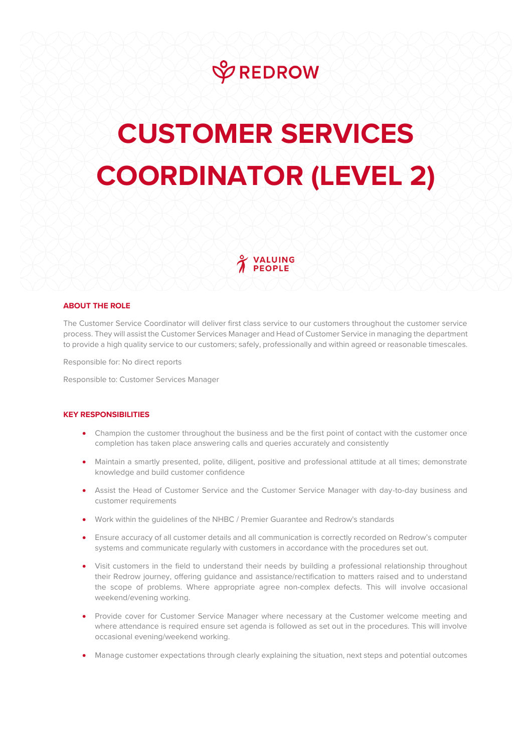

## **CUSTOMER SERVICES COORDINATOR (LEVEL 2)**

VALUING

## **ABOUT THE ROLE**

The Customer Service Coordinator will deliver first class service to our customers throughout the customer service process. They will assist the Customer Services Manager and Head of Customer Service in managing the department to provide a high quality service to our customers; safely, professionally and within agreed or reasonable timescales.

Responsible for: No direct reports

Responsible to: Customer Services Manager

## **KEY RESPONSIBILITIES**

- Champion the customer throughout the business and be the first point of contact with the customer once completion has taken place answering calls and queries accurately and consistently
- Maintain a smartly presented, polite, diligent, positive and professional attitude at all times; demonstrate knowledge and build customer confidence
- Assist the Head of Customer Service and the Customer Service Manager with day-to-day business and customer requirements
- Work within the guidelines of the NHBC / Premier Guarantee and Redrow's standards
- Ensure accuracy of all customer details and all communication is correctly recorded on Redrow's computer systems and communicate regularly with customers in accordance with the procedures set out.
- Visit customers in the field to understand their needs by building a professional relationship throughout their Redrow journey, offering guidance and assistance/rectification to matters raised and to understand the scope of problems. Where appropriate agree non-complex defects. This will involve occasional weekend/evening working.
- Provide cover for Customer Service Manager where necessary at the Customer welcome meeting and where attendance is required ensure set agenda is followed as set out in the procedures. This will involve occasional evening/weekend working.
- Manage customer expectations through clearly explaining the situation, next steps and potential outcomes